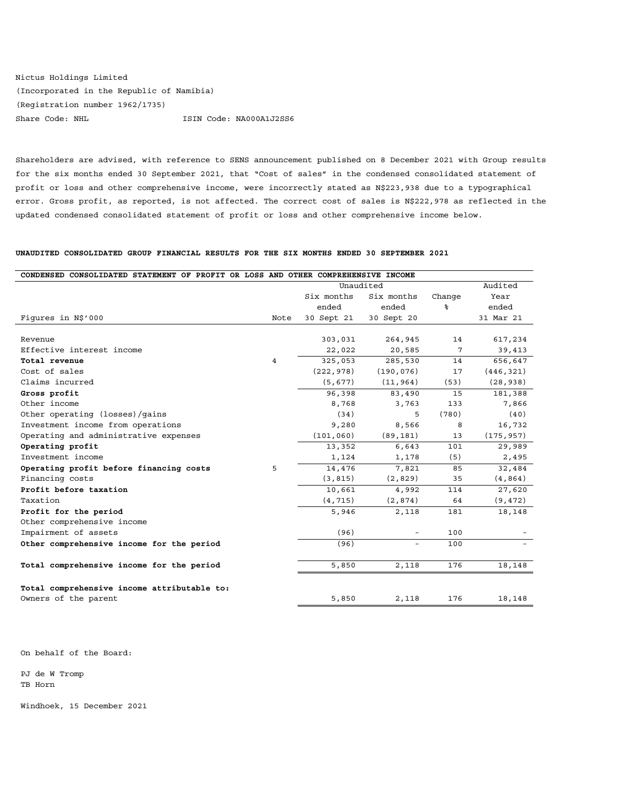Nictus Holdings Limited (Incorporated in the Republic of Namibia) (Registration number 1962/1735) Share Code: NHL ISIN Code: NA000A1J2SS6

Shareholders are advised, with reference to SENS announcement published on 8 December 2021 with Group results for the six months ended 30 September 2021, that "Cost of sales" in the condensed consolidated statement of profit or loss and other comprehensive income, were incorrectly stated as N\$223,938 due to a typographical error. Gross profit, as reported, is not affected. The correct cost of sales is N\$222,978 as reflected in the updated condensed consolidated statement of profit or loss and other comprehensive income below.

## **UNAUDITED CONSOLIDATED GROUP FINANCIAL RESULTS FOR THE SIX MONTHS ENDED 30 SEPTEMBER 2021**

| CONDENSED CONSOLIDATED STATEMENT OF PROFIT OR LOSS AND OTHER COMPREHENSIVE INCOME |                |            |                          |        |            |
|-----------------------------------------------------------------------------------|----------------|------------|--------------------------|--------|------------|
|                                                                                   |                | Unaudited  |                          |        | Audited    |
|                                                                                   |                | Six months | Six months               | Change | Year       |
|                                                                                   |                | ended      | ended                    | ୫      | ended      |
| Figures in N\$'000                                                                | Note           | 30 Sept 21 | 30 Sept 20               |        | 31 Mar 21  |
|                                                                                   |                |            |                          |        |            |
| Revenue                                                                           |                | 303,031    | 264,945                  | 14     | 617,234    |
| Effective interest income                                                         |                | 22,022     | 20,585                   | 7      | 39,413     |
| Total revenue                                                                     | $\overline{4}$ | 325,053    | 285,530                  | 14     | 656,647    |
| Cost of sales                                                                     |                | (222, 978) | (190, 076)               | 17     | (446, 321) |
| Claims incurred                                                                   |                | (5, 677)   | (11, 964)                | (53)   | (28, 938)  |
| Gross profit                                                                      |                | 96,398     | 83,490                   | 15     | 181,388    |
| Other income                                                                      |                | 8,768      | 3,763                    | 133    | 7,866      |
| Other operating (losses)/qains                                                    |                | (34)       | 5                        | (780)  | (40)       |
| Investment income from operations                                                 |                | 9,280      | 8,566                    | 8      | 16,732     |
| Operating and administrative expenses                                             |                | (101, 060) | (89, 181)                | 13     | (175, 957) |
| Operating profit                                                                  |                | 13,352     | 6,643                    | 101    | 29,989     |
| Investment income                                                                 |                | 1,124      | 1,178                    | (5)    | 2,495      |
| Operating profit before financing costs                                           | 5              | 14,476     | 7,821                    | 85     | 32,484     |
| Financing costs                                                                   |                | (3, 815)   | (2, 829)                 | 35     | (4, 864)   |
| Profit before taxation                                                            |                | 10,661     | 4,992                    | 114    | 27,620     |
| Taxation                                                                          |                | (4, 715)   | (2, 874)                 | 64     | (9, 472)   |
| Profit for the period                                                             |                | 5,946      | 2,118                    | 181    | 18,148     |
| Other comprehensive income                                                        |                |            |                          |        |            |
| Impairment of assets                                                              |                | (96)       | $\overline{\phantom{0}}$ | 100    |            |
| Other comprehensive income for the period                                         |                | (96)       |                          | 100    |            |
|                                                                                   |                |            |                          |        |            |
| Total comprehensive income for the period                                         |                | 5,850      | 2,118                    | 176    | 18,148     |
|                                                                                   |                |            |                          |        |            |
| Total comprehensive income attributable to:                                       |                |            |                          |        |            |
| Owners of the parent                                                              |                | 5,850      | 2,118                    | 176    | 18,148     |

On behalf of the Board:

PJ de W Tromp TB Horn

Windhoek, 15 December 2021